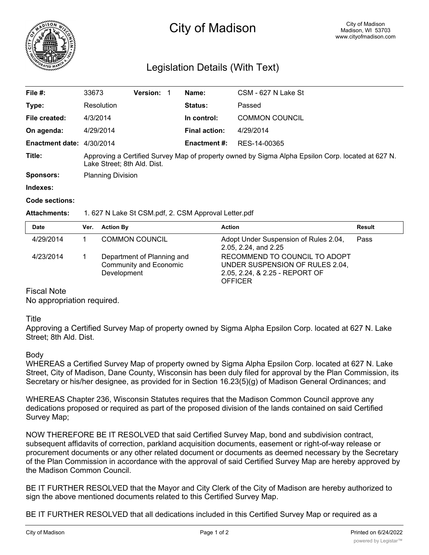

# City of Madison

## Legislation Details (With Text)

| File #:                   | 33673                                                                                                                            | <b>Version: 1</b> |  | Name:                | CSM - 627 N Lake St   |  |
|---------------------------|----------------------------------------------------------------------------------------------------------------------------------|-------------------|--|----------------------|-----------------------|--|
| Type:                     | Resolution                                                                                                                       |                   |  | Status:              | Passed                |  |
| File created:             | 4/3/2014                                                                                                                         |                   |  | In control:          | <b>COMMON COUNCIL</b> |  |
| On agenda:                | 4/29/2014                                                                                                                        |                   |  | <b>Final action:</b> | 4/29/2014             |  |
| Enactment date: 4/30/2014 |                                                                                                                                  |                   |  | <b>Enactment #:</b>  | RES-14-00365          |  |
| Title:                    | Approving a Certified Survey Map of property owned by Sigma Alpha Epsilon Corp. located at 627 N.<br>Lake Street; 8th Ald. Dist. |                   |  |                      |                       |  |
| <b>Sponsors:</b>          | <b>Planning Division</b>                                                                                                         |                   |  |                      |                       |  |
| <b>Indexes</b>            |                                                                                                                                  |                   |  |                      |                       |  |

### **Code sections:**

#### **Attachments:** 1. 627 N Lake St CSM.pdf, 2. CSM Approval Letter.pdf

| <b>Date</b> | Ver. | <b>Action By</b>                                                           | <b>Action</b>                                                                                                        | Result |
|-------------|------|----------------------------------------------------------------------------|----------------------------------------------------------------------------------------------------------------------|--------|
| 4/29/2014   |      | <b>COMMON COUNCIL</b>                                                      | Adopt Under Suspension of Rules 2.04,<br>2.05, 2.24, and 2.25                                                        | Pass   |
| 4/23/2014   |      | Department of Planning and<br><b>Community and Economic</b><br>Development | RECOMMEND TO COUNCIL TO ADOPT<br>UNDER SUSPENSION OF RULES 2.04,<br>2.05, 2.24, & 2.25 - REPORT OF<br><b>OFFICER</b> |        |

#### Fiscal Note

No appropriation required.

#### Title

Approving a Certified Survey Map of property owned by Sigma Alpha Epsilon Corp. located at 627 N. Lake Street; 8th Ald. Dist.

#### Body

WHEREAS a Certified Survey Map of property owned by Sigma Alpha Epsilon Corp. located at 627 N. Lake Street, City of Madison, Dane County, Wisconsin has been duly filed for approval by the Plan Commission, its Secretary or his/her designee, as provided for in Section 16.23(5)(g) of Madison General Ordinances; and

WHEREAS Chapter 236, Wisconsin Statutes requires that the Madison Common Council approve any dedications proposed or required as part of the proposed division of the lands contained on said Certified Survey Map;

NOW THEREFORE BE IT RESOLVED that said Certified Survey Map, bond and subdivision contract, subsequent affidavits of correction, parkland acquisition documents, easement or right-of-way release or procurement documents or any other related document or documents as deemed necessary by the Secretary of the Plan Commission in accordance with the approval of said Certified Survey Map are hereby approved by the Madison Common Council.

BE IT FURTHER RESOLVED that the Mayor and City Clerk of the City of Madison are hereby authorized to sign the above mentioned documents related to this Certified Survey Map.

BE IT FURTHER RESOLVED that all dedications included in this Certified Survey Map or required as a